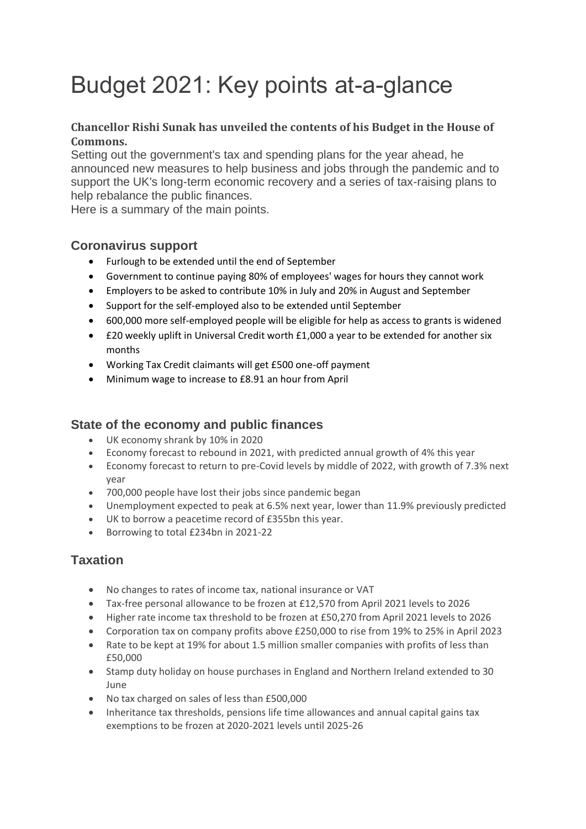# Budget 2021: Key points at-a-glance

#### **Chancellor Rishi Sunak has unveiled the contents of his Budget in the House of Commons.**

Setting out the government's tax and spending plans for the year ahead, he announced new measures to help business and jobs through the pandemic and to support the UK's long-term economic recovery and a series of tax-raising plans to help rebalance the public finances.

Here is a summary of the main points.

# **Coronavirus support**

- Furlough to be extended until the end of September
- Government to continue paying 80% of employees' wages for hours they cannot work
- Employers to be asked to contribute 10% in July and 20% in August and September
- Support for the self-employed also to be extended until September
- 600,000 more self-employed people will be eligible for help as access to grants is widened
- £20 weekly uplift in Universal Credit worth £1,000 a year to be extended for another six months
- Working Tax Credit claimants will get £500 one-off payment
- Minimum wage to increase to £8.91 an hour from April

# **State of the economy and public finances**

- UK economy shrank by 10% in 2020
- Economy forecast to rebound in 2021, with predicted annual growth of 4% this year
- Economy forecast to return to pre-Covid levels by middle of 2022, with growth of 7.3% next year
- 700,000 people have lost their jobs since pandemic began
- Unemployment expected to peak at 6.5% next year, lower than 11.9% previously predicted
- UK to borrow a peacetime record of £355bn this year.
- Borrowing to total £234bn in 2021-22

# **Taxation**

- No changes to rates of income tax, national insurance or VAT
- Tax-free personal allowance to be frozen at £12,570 from April 2021 levels to 2026
- Higher rate income tax threshold to be frozen at £50,270 from April 2021 levels to 2026
- Corporation tax on company profits above £250,000 to rise from 19% to 25% in April 2023
- Rate to be kept at 19% for about 1.5 million smaller companies with profits of less than £50,000
- Stamp duty holiday on house purchases in England and Northern Ireland extended to 30 June
- No tax charged on sales of less than £500,000
- Inheritance tax thresholds, pensions life time allowances and annual capital gains tax exemptions to be frozen at 2020-2021 levels until 2025-26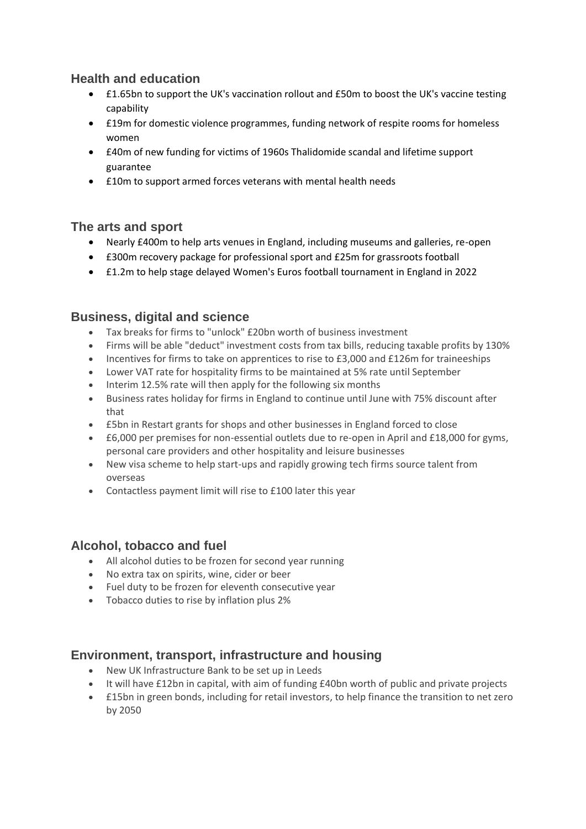# **Health and education**

- £1.65bn to support the UK's vaccination rollout and £50m to boost the UK's vaccine testing capability
- £19m for domestic violence programmes, funding network of respite rooms for homeless women
- £40m of new funding for victims of 1960s Thalidomide scandal and lifetime support guarantee
- £10m to support armed forces veterans with mental health needs

#### **The arts and sport**

- Nearly £400m to help arts venues in England, including museums and galleries, re-open
- £300m recovery package for professional sport and £25m for grassroots football
- £1.2m to help stage delayed Women's Euros football tournament in England in 2022

# **Business, digital and science**

- Tax breaks for firms to "unlock" £20bn worth of business investment
- Firms will be able "deduct" investment costs from tax bills, reducing taxable profits by 130%
- Incentives for firms to take on apprentices to rise to £3,000 and £126m for traineeships
- Lower VAT rate for hospitality firms to be maintained at 5% rate until September
- Interim 12.5% rate will then apply for the following six months
- Business rates holiday for firms in England to continue until June with 75% discount after that
- £5bn in Restart grants for shops and other businesses in England forced to close
- £6,000 per premises for non-essential outlets due to re-open in April and £18,000 for gyms, personal care providers and other hospitality and leisure businesses
- New visa scheme to help start-ups and rapidly growing tech firms source talent from overseas
- Contactless payment limit will rise to £100 later this year

# **Alcohol, tobacco and fuel**

- All alcohol duties to be frozen for second year running
- No extra tax on spirits, wine, cider or beer
- Fuel duty to be frozen for eleventh consecutive year
- Tobacco duties to rise by inflation plus 2%

# **Environment, transport, infrastructure and housing**

- New UK Infrastructure Bank to be set up in Leeds
- It will have £12bn in capital, with aim of funding £40bn worth of public and private projects
- £15bn in green bonds, including for retail investors, to help finance the transition to net zero by 2050